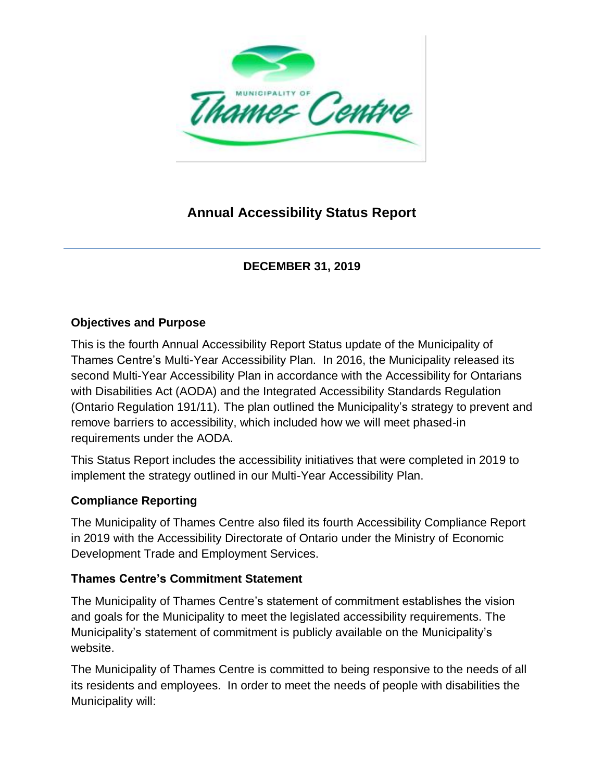

# **Annual Accessibility Status Report**

# **DECEMBER 31, 2019**

#### **Objectives and Purpose**

This is the fourth Annual Accessibility Report Status update of the Municipality of Thames Centre's Multi-Year Accessibility Plan. In 2016, the Municipality released its second Multi-Year Accessibility Plan in accordance with the Accessibility for Ontarians with Disabilities Act (AODA) and the Integrated Accessibility Standards Regulation (Ontario Regulation 191/11). The plan outlined the Municipality's strategy to prevent and remove barriers to accessibility, which included how we will meet phased-in requirements under the AODA.

This Status Report includes the accessibility initiatives that were completed in 2019 to implement the strategy outlined in our Multi-Year Accessibility Plan.

#### **Compliance Reporting**

The Municipality of Thames Centre also filed its fourth Accessibility Compliance Report in 2019 with the Accessibility Directorate of Ontario under the Ministry of Economic Development Trade and Employment Services.

#### **Thames Centre's Commitment Statement**

The Municipality of Thames Centre's statement of commitment establishes the vision and goals for the Municipality to meet the legislated accessibility requirements. The Municipality's statement of commitment is publicly available on the Municipality's website.

The Municipality of Thames Centre is committed to being responsive to the needs of all its residents and employees. In order to meet the needs of people with disabilities the Municipality will: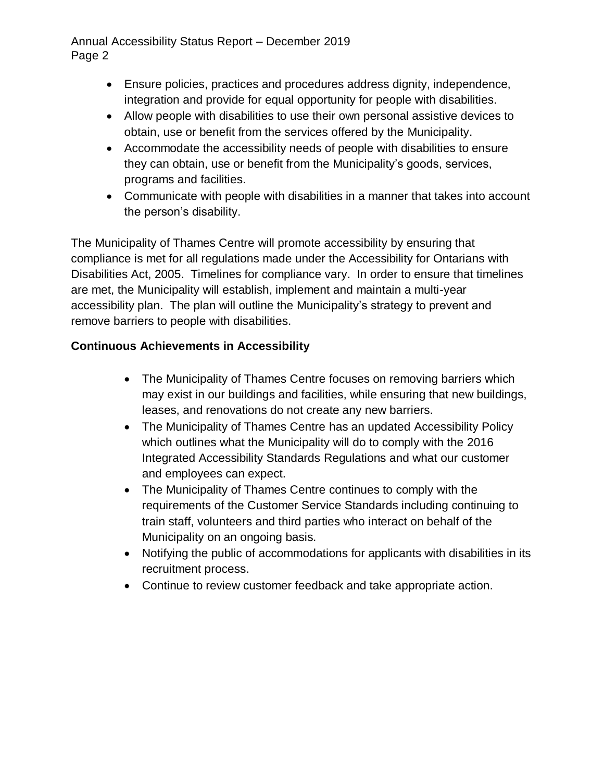#### Annual Accessibility Status Report – December 2019 Page 2

- Ensure policies, practices and procedures address dignity, independence, integration and provide for equal opportunity for people with disabilities.
- Allow people with disabilities to use their own personal assistive devices to obtain, use or benefit from the services offered by the Municipality.
- Accommodate the accessibility needs of people with disabilities to ensure they can obtain, use or benefit from the Municipality's goods, services, programs and facilities.
- Communicate with people with disabilities in a manner that takes into account the person's disability.

The Municipality of Thames Centre will promote accessibility by ensuring that compliance is met for all regulations made under the Accessibility for Ontarians with Disabilities Act, 2005. Timelines for compliance vary. In order to ensure that timelines are met, the Municipality will establish, implement and maintain a multi-year accessibility plan. The plan will outline the Municipality's strategy to prevent and remove barriers to people with disabilities.

# **Continuous Achievements in Accessibility**

- The Municipality of Thames Centre focuses on removing barriers which may exist in our buildings and facilities, while ensuring that new buildings, leases, and renovations do not create any new barriers.
- The Municipality of Thames Centre has an updated Accessibility Policy which outlines what the Municipality will do to comply with the 2016 Integrated Accessibility Standards Regulations and what our customer and employees can expect.
- The Municipality of Thames Centre continues to comply with the requirements of the Customer Service Standards including continuing to train staff, volunteers and third parties who interact on behalf of the Municipality on an ongoing basis.
- Notifying the public of accommodations for applicants with disabilities in its recruitment process.
- Continue to review customer feedback and take appropriate action.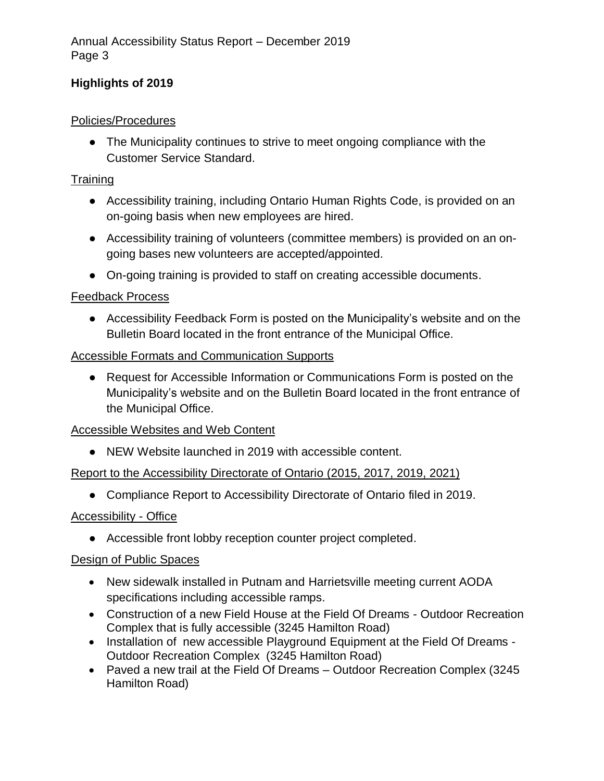# **Highlights of 2019**

#### Policies/Procedures

● The Municipality continues to strive to meet ongoing compliance with the Customer Service Standard.

#### **Training**

- Accessibility training, including Ontario Human Rights Code, is provided on an on-going basis when new employees are hired.
- Accessibility training of volunteers (committee members) is provided on an ongoing bases new volunteers are accepted/appointed.
- On-going training is provided to staff on creating accessible documents.

#### Feedback Process

● Accessibility Feedback Form is posted on the Municipality's website and on the Bulletin Board located in the front entrance of the Municipal Office.

#### **Accessible Formats and Communication Supports**

● Request for Accessible Information or Communications Form is posted on the Municipality's website and on the Bulletin Board located in the front entrance of the Municipal Office.

### Accessible Websites and Web Content

● NEW Website launched in 2019 with accessible content.

### Report to the Accessibility Directorate of Ontario (2015, 2017, 2019, 2021)

● Compliance Report to Accessibility Directorate of Ontario filed in 2019.

### Accessibility - Office

● Accessible front lobby reception counter project completed.

### Design of Public Spaces

- New sidewalk installed in Putnam and Harrietsville meeting current AODA specifications including accessible ramps.
- Construction of a new Field House at the Field Of Dreams Outdoor Recreation Complex that is fully accessible (3245 Hamilton Road)
- Installation of new accessible Playground Equipment at the Field Of Dreams -Outdoor Recreation Complex (3245 Hamilton Road)
- Paved a new trail at the Field Of Dreams Outdoor Recreation Complex (3245) Hamilton Road)